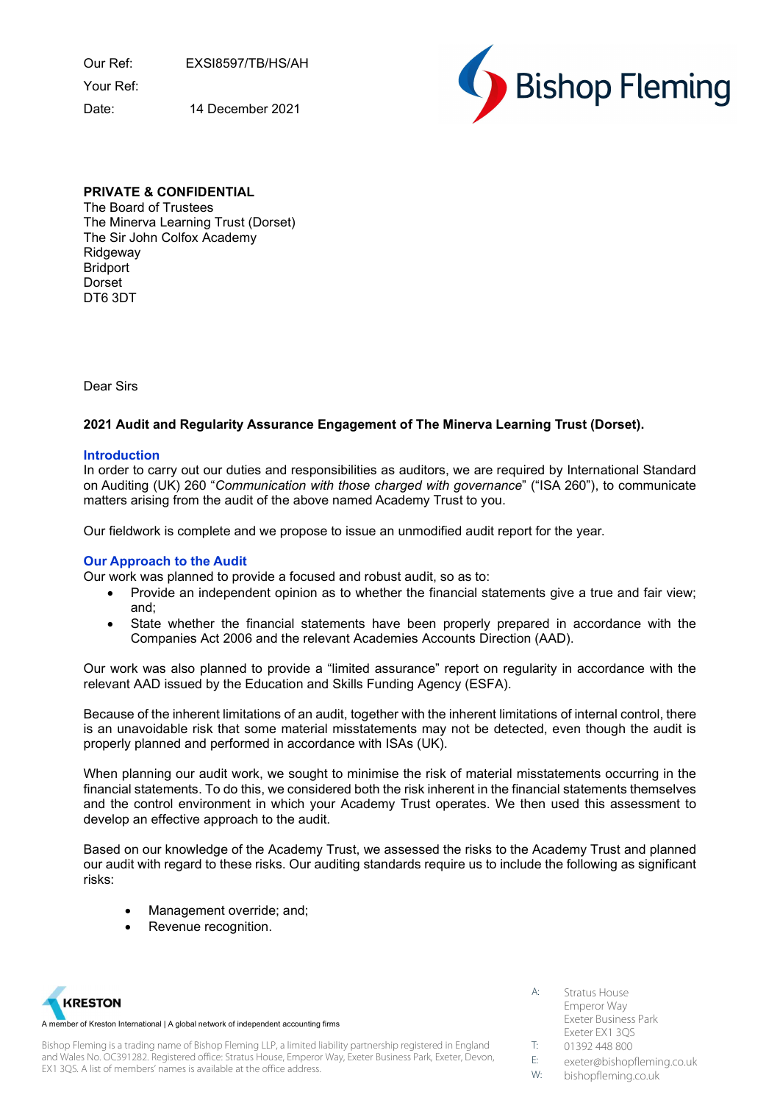Our Ref: EXSI8597/TB/HS/AH

Your Ref:

Date: 14 December 2021



# PRIVATE & CONFIDENTIAL

The Board of Trustees The Minerva Learning Trust (Dorset) The Sir John Colfox Academy Ridgeway Bridport Dorset DT6 3DT

Dear Sirs

# 2021 Audit and Regularity Assurance Engagement of The Minerva Learning Trust (Dorset).

# Introduction

In order to carry out our duties and responsibilities as auditors, we are required by International Standard on Auditing (UK) 260 "Communication with those charged with governance" ("ISA 260"), to communicate matters arising from the audit of the above named Academy Trust to you.

Our fieldwork is complete and we propose to issue an unmodified audit report for the year.

# Our Approach to the Audit

Our work was planned to provide a focused and robust audit, so as to:

- Provide an independent opinion as to whether the financial statements give a true and fair view; and;
- State whether the financial statements have been properly prepared in accordance with the Companies Act 2006 and the relevant Academies Accounts Direction (AAD).

Our work was also planned to provide a "limited assurance" report on regularity in accordance with the relevant AAD issued by the Education and Skills Funding Agency (ESFA).

Because of the inherent limitations of an audit, together with the inherent limitations of internal control, there is an unavoidable risk that some material misstatements may not be detected, even though the audit is properly planned and performed in accordance with ISAs (UK).

When planning our audit work, we sought to minimise the risk of material misstatements occurring in the financial statements. To do this, we considered both the risk inherent in the financial statements themselves and the control environment in which your Academy Trust operates. We then used this assessment to develop an effective approach to the audit.

Based on our knowledge of the Academy Trust, we assessed the risks to the Academy Trust and planned our audit with regard to these risks. Our auditing standards require us to include the following as significant risks:

- Management override; and;
- Revenue recognition.



Bishop Fleming is a trading name of Bishop Fleming LLP, a limited liability partnership registered in England and Wales No. OC391282. Registered office: Stratus House, Emperor Way, Exeter Business Park, Exeter, Devon, EX1 3QS. A list of members' names is available at the office address.

- A: Stratus House Emperor Way Exeter Business Park Exeter EX1 3QS
- T: 01392 448 800
- E: exeter@bishopfleming.co.uk
- W: bishopfleming.co.uk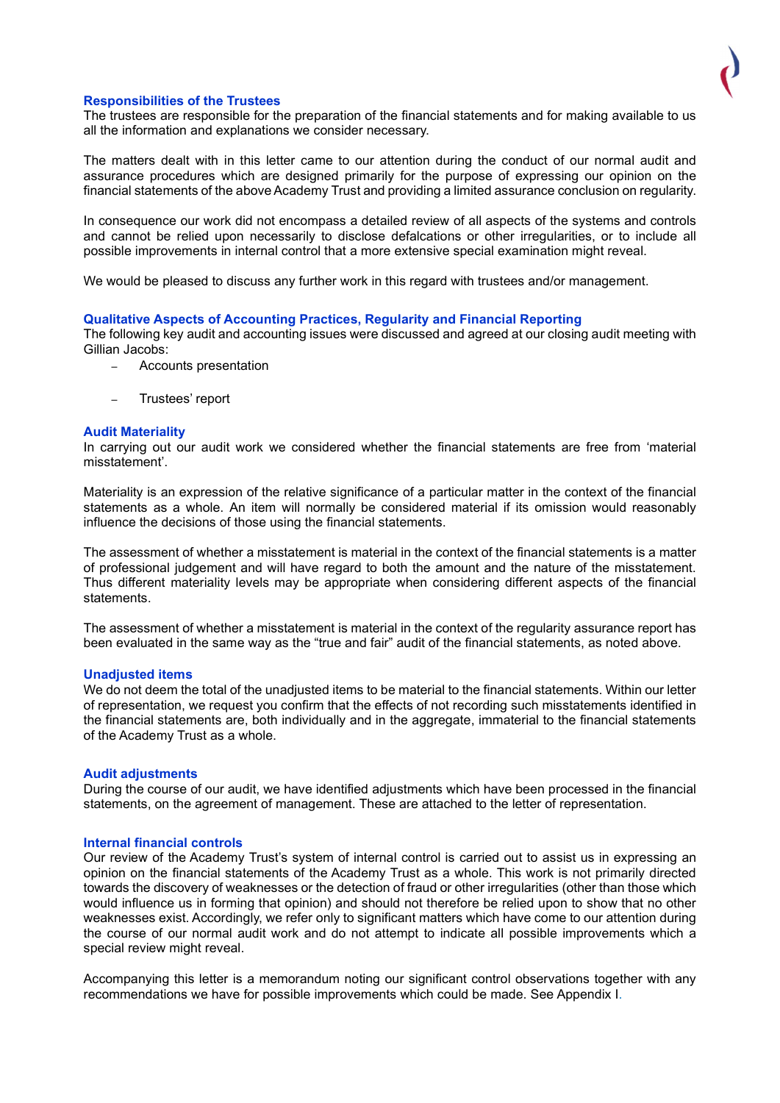# Responsibilities of the Trustees

The trustees are responsible for the preparation of the financial statements and for making available to us all the information and explanations we consider necessary.

The matters dealt with in this letter came to our attention during the conduct of our normal audit and assurance procedures which are designed primarily for the purpose of expressing our opinion on the financial statements of the above Academy Trust and providing a limited assurance conclusion on regularity.

In consequence our work did not encompass a detailed review of all aspects of the systems and controls and cannot be relied upon necessarily to disclose defalcations or other irregularities, or to include all possible improvements in internal control that a more extensive special examination might reveal.

We would be pleased to discuss any further work in this regard with trustees and/or management.

## Qualitative Aspects of Accounting Practices, Regularity and Financial Reporting

The following key audit and accounting issues were discussed and agreed at our closing audit meeting with Gillian Jacobs:

- Accounts presentation
- Trustees' report

## Audit Materiality

In carrying out our audit work we considered whether the financial statements are free from 'material misstatement'.

Materiality is an expression of the relative significance of a particular matter in the context of the financial statements as a whole. An item will normally be considered material if its omission would reasonably influence the decisions of those using the financial statements.

The assessment of whether a misstatement is material in the context of the financial statements is a matter of professional judgement and will have regard to both the amount and the nature of the misstatement. Thus different materiality levels may be appropriate when considering different aspects of the financial statements.

The assessment of whether a misstatement is material in the context of the regularity assurance report has been evaluated in the same way as the "true and fair" audit of the financial statements, as noted above.

#### Unadjusted items

We do not deem the total of the unadjusted items to be material to the financial statements. Within our letter of representation, we request you confirm that the effects of not recording such misstatements identified in the financial statements are, both individually and in the aggregate, immaterial to the financial statements of the Academy Trust as a whole.

#### Audit adjustments

During the course of our audit, we have identified adjustments which have been processed in the financial statements, on the agreement of management. These are attached to the letter of representation.

#### Internal financial controls

Our review of the Academy Trust's system of internal control is carried out to assist us in expressing an opinion on the financial statements of the Academy Trust as a whole. This work is not primarily directed towards the discovery of weaknesses or the detection of fraud or other irregularities (other than those which would influence us in forming that opinion) and should not therefore be relied upon to show that no other weaknesses exist. Accordingly, we refer only to significant matters which have come to our attention during the course of our normal audit work and do not attempt to indicate all possible improvements which a special review might reveal.

Accompanying this letter is a memorandum noting our significant control observations together with any recommendations we have for possible improvements which could be made. See Appendix I.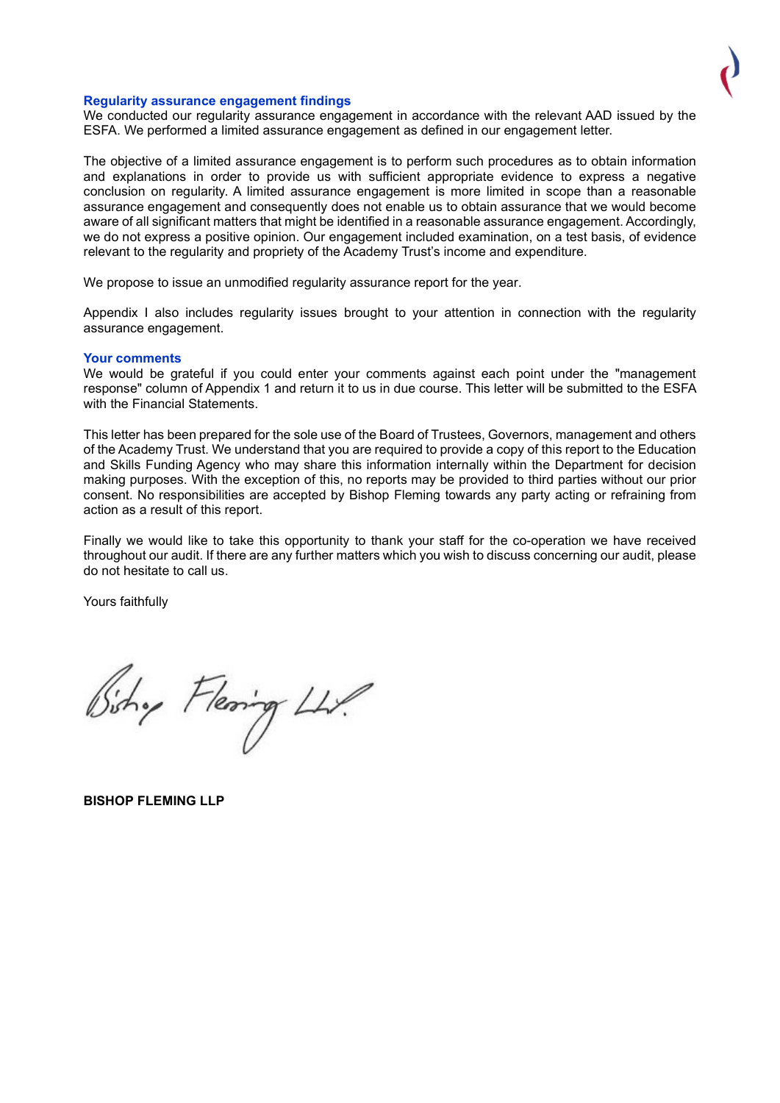#### Regularity assurance engagement findings

We conducted our regularity assurance engagement in accordance with the relevant AAD issued by the ESFA. We performed a limited assurance engagement as defined in our engagement letter.

The objective of a limited assurance engagement is to perform such procedures as to obtain information and explanations in order to provide us with sufficient appropriate evidence to express a negative conclusion on regularity. A limited assurance engagement is more limited in scope than a reasonable assurance engagement and consequently does not enable us to obtain assurance that we would become aware of all significant matters that might be identified in a reasonable assurance engagement. Accordingly, we do not express a positive opinion. Our engagement included examination, on a test basis, of evidence relevant to the regularity and propriety of the Academy Trust's income and expenditure.

We propose to issue an unmodified regularity assurance report for the year.

Appendix I also includes regularity issues brought to your attention in connection with the regularity assurance engagement.

#### Your comments

We would be grateful if you could enter your comments against each point under the "management response" column of Appendix 1 and return it to us in due course. This letter will be submitted to the ESFA with the Financial Statements.

This letter has been prepared for the sole use of the Board of Trustees, Governors, management and others of the Academy Trust. We understand that you are required to provide a copy of this report to the Education and Skills Funding Agency who may share this information internally within the Department for decision making purposes. With the exception of this, no reports may be provided to third parties without our prior consent. No responsibilities are accepted by Bishop Fleming towards any party acting or refraining from action as a result of this report.

Finally we would like to take this opportunity to thank your staff for the co-operation we have received throughout our audit. If there are any further matters which you wish to discuss concerning our audit, please do not hesitate to call us.

Yours faithfully

Sistry Flering LLP.

BISHOP FLEMING LLP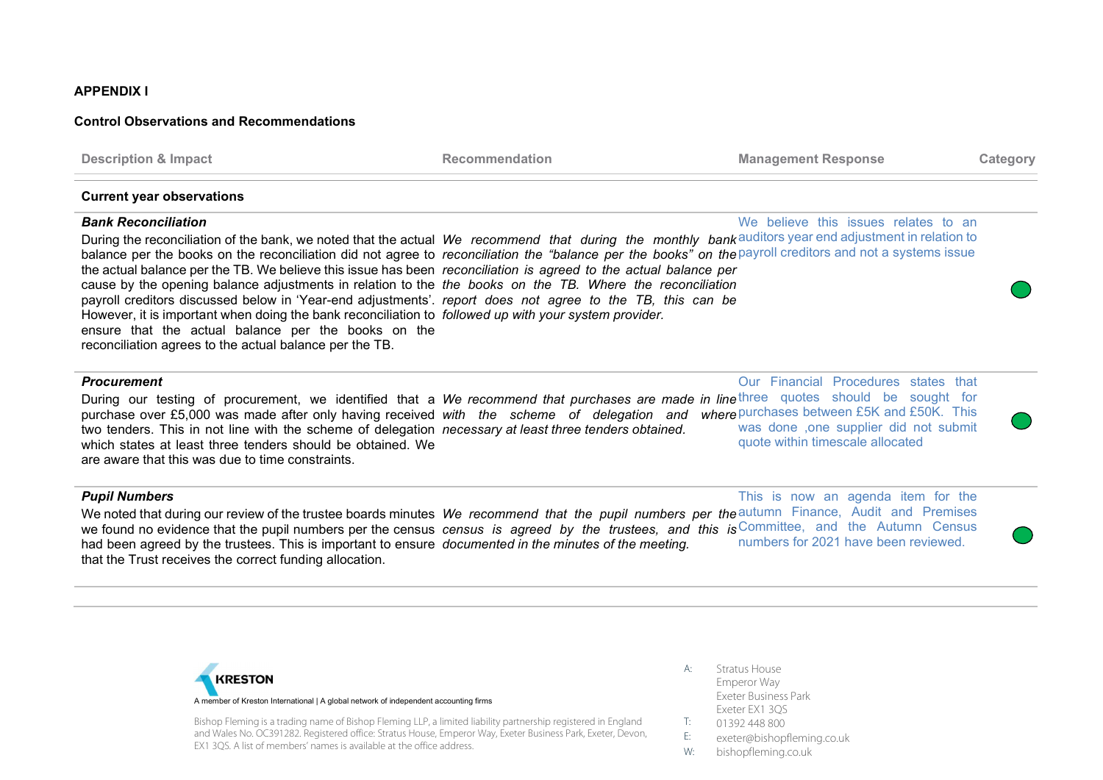## APPENDIX I

# Control Observations and Recommendations

| <b>Description &amp; Impact</b>                                                                                                                                                                                                                                                                                                                                                                                                                                                                                                                                                                                                                                                                                                                                                                                                                                                                                          | <b>Recommendation</b> | <b>Management Response</b>                                                                                        | Category |
|--------------------------------------------------------------------------------------------------------------------------------------------------------------------------------------------------------------------------------------------------------------------------------------------------------------------------------------------------------------------------------------------------------------------------------------------------------------------------------------------------------------------------------------------------------------------------------------------------------------------------------------------------------------------------------------------------------------------------------------------------------------------------------------------------------------------------------------------------------------------------------------------------------------------------|-----------------------|-------------------------------------------------------------------------------------------------------------------|----------|
| <b>Current year observations</b>                                                                                                                                                                                                                                                                                                                                                                                                                                                                                                                                                                                                                                                                                                                                                                                                                                                                                         |                       |                                                                                                                   |          |
| <b>Bank Reconciliation</b><br>During the reconciliation of the bank, we noted that the actual We recommend that during the monthly bank auditors year end adjustment in relation to<br>balance per the books on the reconciliation did not agree to reconciliation the "balance per the books" on the payroll creditors and not a systems issue<br>the actual balance per the TB. We believe this issue has been reconciliation is agreed to the actual balance per<br>cause by the opening balance adjustments in relation to the the books on the TB. Where the reconciliation<br>payroll creditors discussed below in 'Year-end adjustments'. report does not agree to the TB, this can be<br>However, it is important when doing the bank reconciliation to followed up with your system provider.<br>ensure that the actual balance per the books on the<br>reconciliation agrees to the actual balance per the TB. |                       | We believe this issues relates to an                                                                              |          |
| <b>Procurement</b><br>During our testing of procurement, we identified that a We recommend that purchases are made in linethree quotes should be sought for<br>purchase over £5,000 was made after only having received with the scheme of delegation and where purchases between £5K and £50K. This<br>two tenders. This in not line with the scheme of delegation necessary at least three tenders obtained.<br>which states at least three tenders should be obtained. We<br>are aware that this was due to time constraints.                                                                                                                                                                                                                                                                                                                                                                                         |                       | Our Financial Procedures states that<br>was done ,one supplier did not submit<br>quote within timescale allocated |          |
| <b>Pupil Numbers</b><br>We noted that during our review of the trustee boards minutes We recommend that the pupil numbers per the autumn Finance, Audit and Premises                                                                                                                                                                                                                                                                                                                                                                                                                                                                                                                                                                                                                                                                                                                                                     |                       | This is now an agenda item for the                                                                                |          |

we found no evidence that the pupil numbers per the census census is agreed by the trustees, and this is Committee, and the Autumn Census had been agreed by the trustees. This is important to ensure documented in the minutes of the meeting. that the Trust receives the correct funding allocation. numbers for 2021 have been reviewed.



Bishop Fleming is a trading name of Bishop Fleming LLP, a limited liability partnership registered in England and Wales No. OC391282. Registered office: Stratus House, Emperor Way, Exeter Business Park, Exeter, Devon, EX1 3QS. A list of members' names is available at the office address.

- A: Stratus House Emperor Way Exeter Business Park Exeter EX1 3QS
- T: 01392 448 800
- E: exeter@bishopfleming.co.uk
- W: bishopfleming.co.uk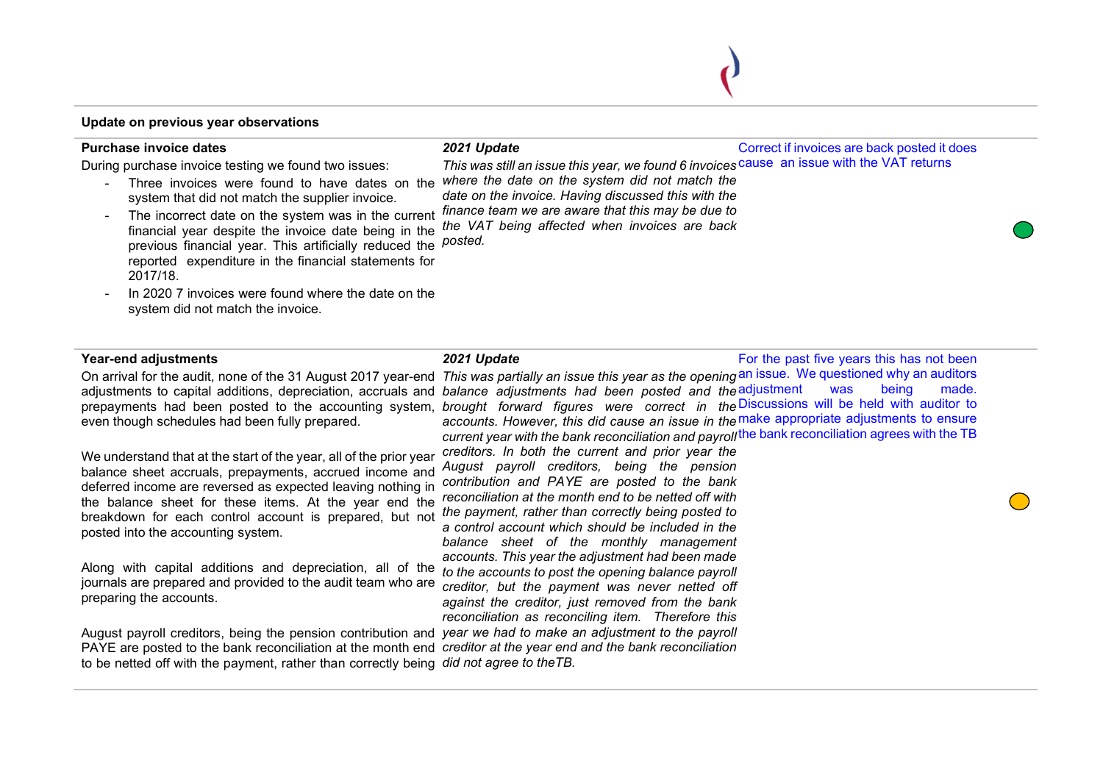## Update on previous year observations

#### Purchase invoice dates

During purchase invoice testing we found two issues:

- system that did not match the supplier invoice.
- The incorrect date on the system was in the current financial year despite the invoice date being in the manities you are previous and the term and a single previous financial year. This artificially reduced the *posted.* reported expenditure in the financial statements for 2017/18.
- In 2020 7 invoices were found where the date on the system did not match the invoice.

# 2021 Update

2021 Update

- Three invoices were found to have dates on the where the date on the system did not match the This was still an issue this year, we found 6 invoices cause an issue with the VAT returns date on the invoice. Having discussed this with the finance team we are aware that this may be due to the VAT being affected when invoices are back

## Year-end adjustments

even though schedules had been fully prepared.

We understand that at the start of the year, all of the prior year balance sheet accruals, prepayments, accrued income and deferred income are reversed as expected leaving nothing in the balance sheet for these items. At the year end the breakdown for each control account is prepared, but not posted into the accounting system.

Along with capital additions and depreciation, all of the journals are prepared and provided to the audit team who are preparing the accounts.

August payroll creditors, being the pension contribution and year we had to make an adjustment to the payroll PAYE are posted to the bank reconciliation at the month end creditor at the year end and the bank reconciliation to be netted off with the payment, rather than correctly being *did not agree to theTB.* 

On arrival for the audit, none of the 31 August 2017 year-end *This was partially an issue this year as the opening* an issue. We questioned why an auditors adjustments to capital additions, depreciation, accruals and *balance adjustments had been posted and the* adjustment was being made. prepayments had been posted to the accounting system, *brought forward figures were correct in the*Discussions will be held with auditor to accounts. However, this did cause an issue in the make appropriate adjustments to ensure current year with the bank reconciliation and payroll<sup>the bank</sup> reconciliation agrees with the TB creditors. In both the current and prior year the

Correct if invoices are back posted it does

For the past five years this has not been

August payroll creditors, being the pension contribution and PAYE are posted to the bank reconciliation at the month end to be netted off with the payment, rather than correctly being posted to a control account which should be included in the balance sheet of the monthly management accounts. This year the adjustment had been made to the accounts to post the opening balance payroll creditor, but the payment was never netted off against the creditor, just removed from the bank reconciliation as reconciling item. Therefore this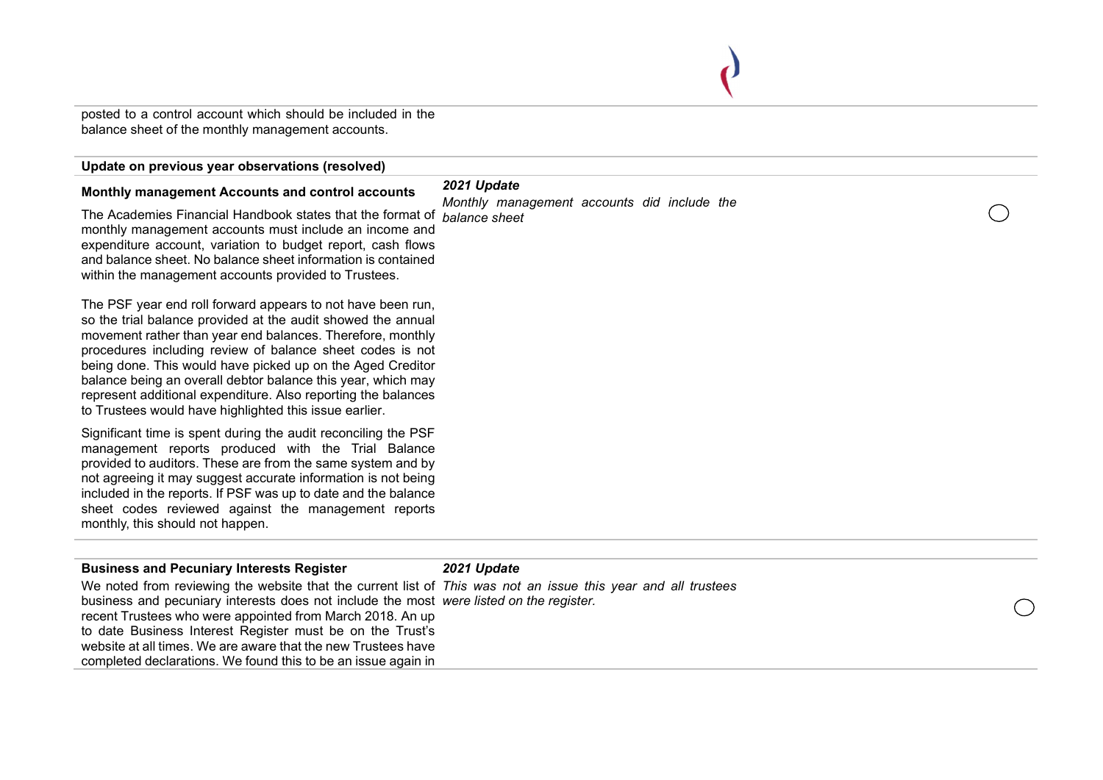posted to a control account which should be included in the balance sheet of the monthly management accounts.

# Update on previous year observations (resolved)

#### Monthly management Accounts and control accounts

The Academies Financial Handbook states that the format of *balance sheet* monthly management accounts must include an income and expenditure account, variation to budget report, cash flows and balance sheet. No balance sheet information is contained within the management accounts provided to Trustees.

The PSF year end roll forward appears to not have been run, so the trial balance provided at the audit showed the annual movement rather than year end balances. Therefore, monthly procedures including review of balance sheet codes is not being done. This would have picked up on the Aged Creditor balance being an overall debtor balance this year, which may represent additional expenditure. Also reporting the balances to Trustees would have highlighted this issue earlier.

Significant time is spent during the audit reconciling the PSF management reports produced with the Trial Balance provided to auditors. These are from the same system and by not agreeing it may suggest accurate information is not being included in the reports. If PSF was up to date and the balance sheet codes reviewed against the management reports monthly, this should not happen.

| <b>Business and Pecuniary Interests Register</b>                                                              | 2021 Update |            |
|---------------------------------------------------------------------------------------------------------------|-------------|------------|
| We noted from reviewing the website that the current list of This was not an issue this year and all trustees |             |            |
| business and pecuniary interests does not include the most were listed on the register.                       |             | $\bigcirc$ |
| recent Trustees who were appointed from March 2018. An up                                                     |             |            |
| to date Business Interest Register must be on the Trust's                                                     |             |            |
| website at all times. We are aware that the new Trustees have                                                 |             |            |
| completed declarations. We found this to be an issue again in                                                 |             |            |
|                                                                                                               |             |            |

2021 Update

Monthly management accounts did include the